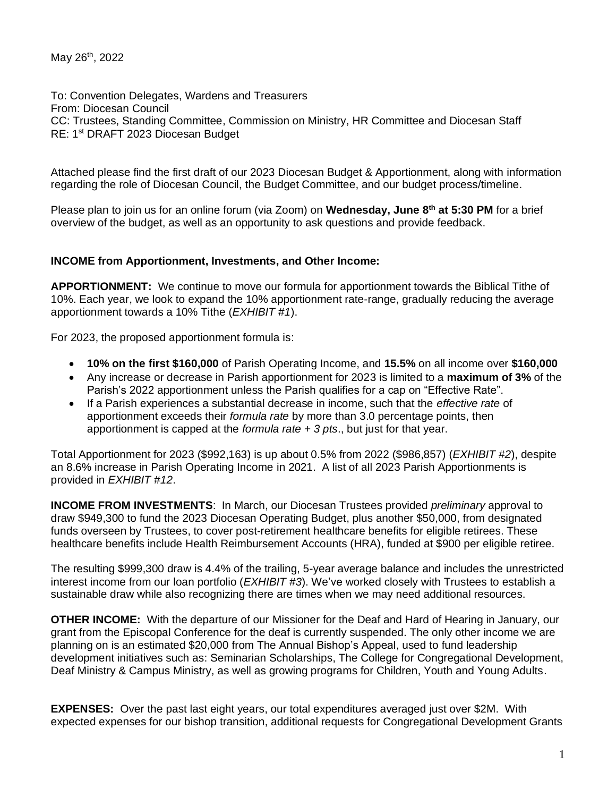May 26<sup>th</sup>, 2022

To: Convention Delegates, Wardens and Treasurers From: Diocesan Council CC: Trustees, Standing Committee, Commission on Ministry, HR Committee and Diocesan Staff RE: 1<sup>st</sup> DRAFT 2023 Diocesan Budget

Attached please find the first draft of our 2023 Diocesan Budget & Apportionment, along with information regarding the role of Diocesan Council, the Budget Committee, and our budget process/timeline.

Please plan to join us for an online forum (via Zoom) on **Wednesday, June 8 th at 5:30 PM** for a brief overview of the budget, as well as an opportunity to ask questions and provide feedback.

## **INCOME from Apportionment, Investments, and Other Income:**

**APPORTIONMENT:** We continue to move our formula for apportionment towards the Biblical Tithe of 10%. Each year, we look to expand the 10% apportionment rate-range, gradually reducing the average apportionment towards a 10% Tithe (*EXHIBIT #1*).

For 2023, the proposed apportionment formula is:

- **10% on the first \$160,000** of Parish Operating Income, and **15.5%** on all income over **\$160,000**
- Any increase or decrease in Parish apportionment for 2023 is limited to a **maximum of 3%** of the Parish's 2022 apportionment unless the Parish qualifies for a cap on "Effective Rate".
- If a Parish experiences a substantial decrease in income, such that the *effective rate* of apportionment exceeds their *formula rate* by more than 3.0 percentage points, then apportionment is capped at the *formula rate + 3 pts*., but just for that year.

Total Apportionment for 2023 (\$992,163) is up about 0.5% from 2022 (\$986,857) (*EXHIBIT #2*), despite an 8.6% increase in Parish Operating Income in 2021. A list of all 2023 Parish Apportionments is provided in *EXHIBIT #12*.

**INCOME FROM INVESTMENTS**: In March, our Diocesan Trustees provided *preliminary* approval to draw \$949,300 to fund the 2023 Diocesan Operating Budget, plus another \$50,000, from designated funds overseen by Trustees, to cover post-retirement healthcare benefits for eligible retirees. These healthcare benefits include Health Reimbursement Accounts (HRA), funded at \$900 per eligible retiree.

The resulting \$999,300 draw is 4.4% of the trailing, 5-year average balance and includes the unrestricted interest income from our loan portfolio (*EXHIBIT #3*). We've worked closely with Trustees to establish a sustainable draw while also recognizing there are times when we may need additional resources.

**OTHER INCOME:** With the departure of our Missioner for the Deaf and Hard of Hearing in January, our grant from the Episcopal Conference for the deaf is currently suspended. The only other income we are planning on is an estimated \$20,000 from The Annual Bishop's Appeal, used to fund leadership development initiatives such as: Seminarian Scholarships, The College for Congregational Development, Deaf Ministry & Campus Ministry, as well as growing programs for Children, Youth and Young Adults.

**EXPENSES:** Over the past last eight years, our total expenditures averaged just over \$2M. With expected expenses for our bishop transition, additional requests for Congregational Development Grants